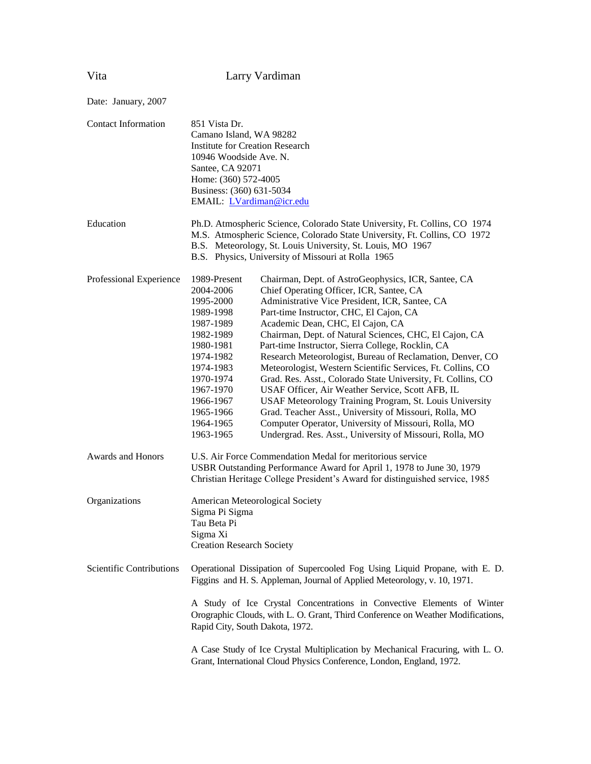| Date: January, 2007        |                                                                                                                                                                                                                                                                                                                                                                                                                                                                                                                                                                                                                                                                                                                                                                                                                                                                                                                                                                                                                                                |
|----------------------------|------------------------------------------------------------------------------------------------------------------------------------------------------------------------------------------------------------------------------------------------------------------------------------------------------------------------------------------------------------------------------------------------------------------------------------------------------------------------------------------------------------------------------------------------------------------------------------------------------------------------------------------------------------------------------------------------------------------------------------------------------------------------------------------------------------------------------------------------------------------------------------------------------------------------------------------------------------------------------------------------------------------------------------------------|
| <b>Contact Information</b> | 851 Vista Dr.<br>Camano Island, WA 98282<br><b>Institute for Creation Research</b><br>10946 Woodside Ave. N.<br>Santee, CA 92071<br>Home: (360) 572-4005<br>Business: (360) 631-5034<br>EMAIL: LVardiman@icr.edu                                                                                                                                                                                                                                                                                                                                                                                                                                                                                                                                                                                                                                                                                                                                                                                                                               |
| Education                  | Ph.D. Atmospheric Science, Colorado State University, Ft. Collins, CO 1974<br>M.S. Atmospheric Science, Colorado State University, Ft. Collins, CO 1972<br>B.S. Meteorology, St. Louis University, St. Louis, MO 1967<br>B.S. Physics, University of Missouri at Rolla 1965                                                                                                                                                                                                                                                                                                                                                                                                                                                                                                                                                                                                                                                                                                                                                                    |
| Professional Experience    | 1989-Present<br>Chairman, Dept. of AstroGeophysics, ICR, Santee, CA<br>2004-2006<br>Chief Operating Officer, ICR, Santee, CA<br>1995-2000<br>Administrative Vice President, ICR, Santee, CA<br>Part-time Instructor, CHC, El Cajon, CA<br>1989-1998<br>Academic Dean, CHC, El Cajon, CA<br>1987-1989<br>Chairman, Dept. of Natural Sciences, CHC, El Cajon, CA<br>1982-1989<br>Part-time Instructor, Sierra College, Rocklin, CA<br>1980-1981<br>Research Meteorologist, Bureau of Reclamation, Denver, CO<br>1974-1982<br>Meteorologist, Western Scientific Services, Ft. Collins, CO<br>1974-1983<br>Grad. Res. Asst., Colorado State University, Ft. Collins, CO<br>1970-1974<br>USAF Officer, Air Weather Service, Scott AFB, IL<br>1967-1970<br>1966-1967<br>USAF Meteorology Training Program, St. Louis University<br>Grad. Teacher Asst., University of Missouri, Rolla, MO<br>1965-1966<br>Computer Operator, University of Missouri, Rolla, MO<br>1964-1965<br>1963-1965<br>Undergrad. Res. Asst., University of Missouri, Rolla, MO |
| <b>Awards and Honors</b>   | U.S. Air Force Commendation Medal for meritorious service<br>USBR Outstanding Performance Award for April 1, 1978 to June 30, 1979<br>Christian Heritage College President's Award for distinguished service, 1985                                                                                                                                                                                                                                                                                                                                                                                                                                                                                                                                                                                                                                                                                                                                                                                                                             |
| Organizations              | American Meteorological Society<br>Sigma Pi Sigma<br>Tau Beta Pi<br>Sigma Xi<br><b>Creation Research Society</b>                                                                                                                                                                                                                                                                                                                                                                                                                                                                                                                                                                                                                                                                                                                                                                                                                                                                                                                               |
| Scientific Contributions   | Operational Dissipation of Supercooled Fog Using Liquid Propane, with E. D.<br>Figgins and H. S. Appleman, Journal of Applied Meteorology, v. 10, 1971.<br>A Study of Ice Crystal Concentrations in Convective Elements of Winter<br>Orographic Clouds, with L. O. Grant, Third Conference on Weather Modifications,<br>Rapid City, South Dakota, 1972.<br>A Case Study of Ice Crystal Multiplication by Mechanical Fracuring, with L. O.<br>Grant, International Cloud Physics Conference, London, England, 1972.                                                                                                                                                                                                                                                                                                                                                                                                                                                                                                                             |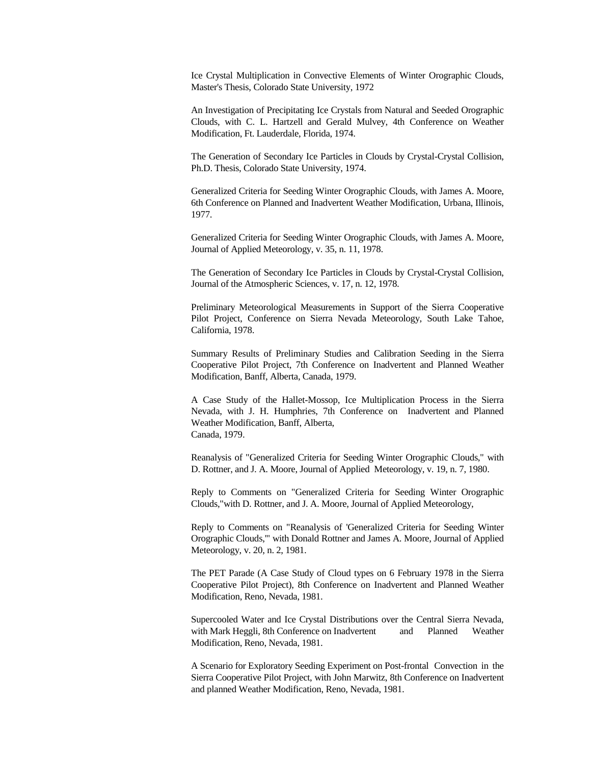Ice Crystal Multiplication in Convective Elements of Winter Orographic Clouds, Master's Thesis, Colorado State University, 1972

An Investigation of Precipitating Ice Crystals from Natural and Seeded Orographic Clouds, with C. L. Hartzell and Gerald Mulvey, 4th Conference on Weather Modification, Ft. Lauderdale, Florida, 1974.

The Generation of Secondary Ice Particles in Clouds by Crystal-Crystal Collision, Ph.D. Thesis, Colorado State University, 1974.

Generalized Criteria for Seeding Winter Orographic Clouds, with James A. Moore, 6th Conference on Planned and Inadvertent Weather Modification, Urbana, Illinois, 1977.

Generalized Criteria for Seeding Winter Orographic Clouds, with James A. Moore, Journal of Applied Meteorology, v. 35, n. 11, 1978.

The Generation of Secondary Ice Particles in Clouds by Crystal-Crystal Collision, Journal of the Atmospheric Sciences, v. 17, n. 12, 1978.

Preliminary Meteorological Measurements in Support of the Sierra Cooperative Pilot Project, Conference on Sierra Nevada Meteorology, South Lake Tahoe, California, 1978.

Summary Results of Preliminary Studies and Calibration Seeding in the Sierra Cooperative Pilot Project, 7th Conference on Inadvertent and Planned Weather Modification, Banff, Alberta, Canada, 1979.

A Case Study of the Hallet-Mossop, Ice Multiplication Process in the Sierra Nevada, with J. H. Humphries, 7th Conference on Inadvertent and Planned Weather Modification, Banff, Alberta, Canada, 1979.

Reanalysis of "Generalized Criteria for Seeding Winter Orographic Clouds," with D. Rottner, and J. A. Moore, Journal of Applied Meteorology, v. 19, n. 7, 1980.

Reply to Comments on "Generalized Criteria for Seeding Winter Orographic Clouds,"with D. Rottner, and J. A. Moore, Journal of Applied Meteorology,

Reply to Comments on "Reanalysis of 'Generalized Criteria for Seeding Winter Orographic Clouds,'" with Donald Rottner and James A. Moore, Journal of Applied Meteorology, v. 20, n. 2, 1981.

The PET Parade (A Case Study of Cloud types on 6 February 1978 in the Sierra Cooperative Pilot Project), 8th Conference on Inadvertent and Planned Weather Modification, Reno, Nevada, 1981.

Supercooled Water and Ice Crystal Distributions over the Central Sierra Nevada, with Mark Heggli, 8th Conference on Inadvertent and Planned Weather Modification, Reno, Nevada, 1981.

A Scenario for Exploratory Seeding Experiment on Post-frontal Convection in the Sierra Cooperative Pilot Project, with John Marwitz, 8th Conference on Inadvertent and planned Weather Modification, Reno, Nevada, 1981.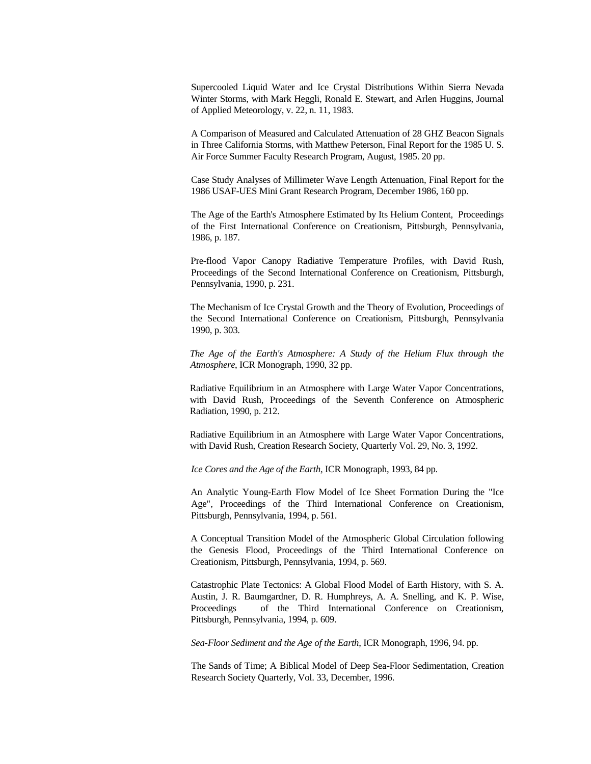Supercooled Liquid Water and Ice Crystal Distributions Within Sierra Nevada Winter Storms, with Mark Heggli, Ronald E. Stewart, and Arlen Huggins, Journal of Applied Meteorology, v. 22, n. 11, 1983.

A Comparison of Measured and Calculated Attenuation of 28 GHZ Beacon Signals in Three California Storms, with Matthew Peterson, Final Report for the 1985 U. S. Air Force Summer Faculty Research Program, August, 1985. 20 pp.

Case Study Analyses of Millimeter Wave Length Attenuation, Final Report for the 1986 USAF-UES Mini Grant Research Program, December 1986, 160 pp.

The Age of the Earth's Atmosphere Estimated by Its Helium Content, Proceedings of the First International Conference on Creationism, Pittsburgh, Pennsylvania, 1986, p. 187.

Pre-flood Vapor Canopy Radiative Temperature Profiles, with David Rush, Proceedings of the Second International Conference on Creationism, Pittsburgh, Pennsylvania, 1990, p. 231.

The Mechanism of Ice Crystal Growth and the Theory of Evolution, Proceedings of the Second International Conference on Creationism, Pittsburgh, Pennsylvania 1990, p. 303.

*The Age of the Earth's Atmosphere: A Study of the Helium Flux through the Atmosphere*, ICR Monograph, 1990, 32 pp.

Radiative Equilibrium in an Atmosphere with Large Water Vapor Concentrations, with David Rush, Proceedings of the Seventh Conference on Atmospheric Radiation, 1990, p. 212.

Radiative Equilibrium in an Atmosphere with Large Water Vapor Concentrations, with David Rush, Creation Research Society, Quarterly Vol. 29, No. 3, 1992.

*Ice Cores and the Age of the Earth*, ICR Monograph, 1993, 84 pp.

An Analytic Young-Earth Flow Model of Ice Sheet Formation During the "Ice Age", Proceedings of the Third International Conference on Creationism, Pittsburgh, Pennsylvania, 1994, p. 561.

A Conceptual Transition Model of the Atmospheric Global Circulation following the Genesis Flood, Proceedings of the Third International Conference on Creationism, Pittsburgh, Pennsylvania, 1994, p. 569.

Catastrophic Plate Tectonics: A Global Flood Model of Earth History, with S. A. Austin, J. R. Baumgardner, D. R. Humphreys, A. A. Snelling, and K. P. Wise, Proceedings of the Third International Conference on Creationism, Pittsburgh, Pennsylvania, 1994, p. 609.

*Sea-Floor Sediment and the Age of the Earth*, ICR Monograph, 1996, 94. pp.

The Sands of Time; A Biblical Model of Deep Sea-Floor Sedimentation, Creation Research Society Quarterly, Vol. 33, December, 1996.